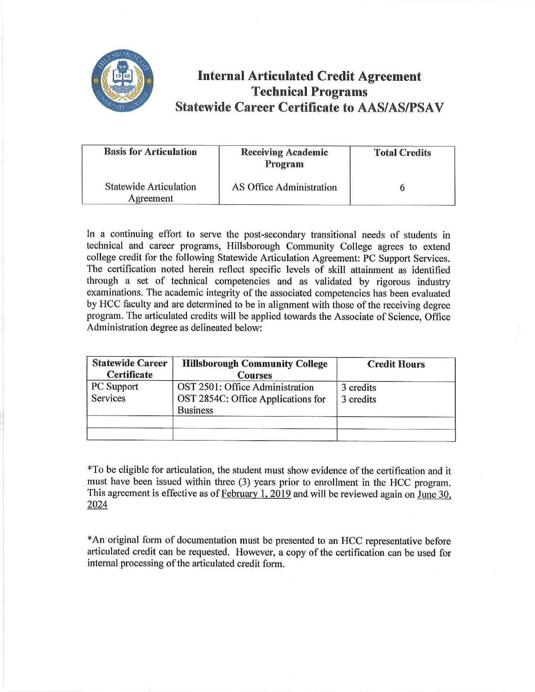

# **Internal Articulated Credit Agreement Technical Programs Statewide Career Certificate to AAS/AS/PSAV**

| <b>Basis for Articulation</b>              | <b>Receiving Academic</b><br>Program | <b>Total Credits</b> |  |
|--------------------------------------------|--------------------------------------|----------------------|--|
| <b>Statewide Articulation</b><br>Agreement | AS Office Administration             |                      |  |

In a continuing effort to serve the post-secondary transitional needs of students in technical and career programs, Hillsborough Community College agrees to extend college credit for the following Statewide Articulation Agreement: PC Support Services. The certification noted herein reflect specific levels of skill attainment as identified through a set of technical competencies and as validated by rigorous industry examinations. The academic integrity of the associated competencies has been evaluated by HCC faculty and are determined to be in alignment with those of the receiving degree program. The articulated credits will be applied towards the Associate of Science, Office Administration degree as delineated below:

| <b>Statewide Career</b><br>Certificate | <b>Hillsborough Community College</b><br><b>Courses</b>                                  | <b>Credit Hours</b>    |
|----------------------------------------|------------------------------------------------------------------------------------------|------------------------|
| <b>PC</b> Support<br>Services          | OST 2501: Office Administration<br>OST 2854C: Office Applications for<br><b>Business</b> | 3 credits<br>3 credits |
|                                        |                                                                                          |                        |

\*To be eligible for mticulation, the student must show evidence of the certification and it must have been issued within three (3) years prior to enrollment in the HCC program. This agreement is effective as of February 1, 2019 and will be reviewed again on June 30, 2024

\* An original form of documentation must be presented to an HCC representative before articulated credit can be requested. However, a copy of the certification can be used for internal processing of the articulated credit form.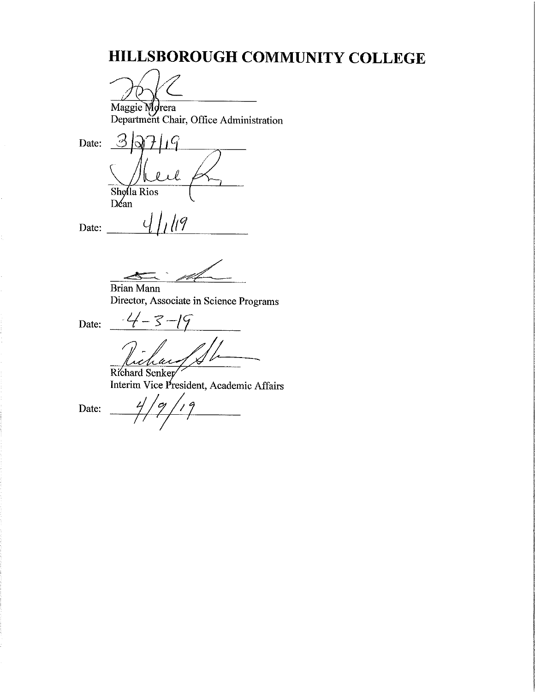# HILLSBOROUGH COMMUNITY COLLEGE

Maggie Morera<br>Department Chair, Office Administration

 $39719$ Date:  $l \mathcal{U}$ Shella Rios<br>Déan

 $\overline{d}$ 

Date:

ا ار

**Brian Mann** Director, Associate in Science Programs

Date:  $-4-3$ -19

ichai Richard Senker

Interim Vice President, Academic Affairs

Date: